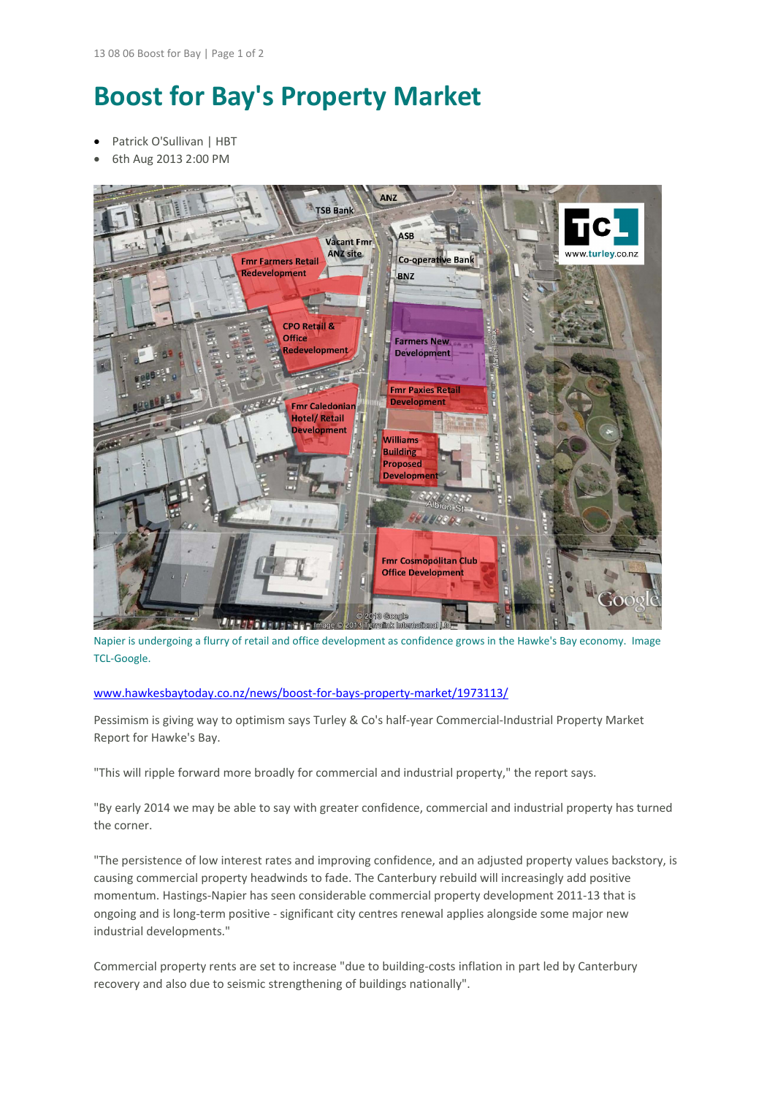## **Boost for Bay's Property Market**

- Patrick O'Sullivan | HBT
- 6th Aug 2013 2:00 PM



Napier is undergoing a flurry of retail and office development as confidence grows in the Hawke's Bay economy. Image TCL‐Google.

## www.hawkesbaytoday.co.nz/news/boost‐for‐bays‐property‐market/1973113/

Pessimism is giving way to optimism says Turley & Co's half‐year Commercial‐Industrial Property Market Report for Hawke's Bay.

"This will ripple forward more broadly for commercial and industrial property," the report says.

"By early 2014 we may be able to say with greater confidence, commercial and industrial property has turned the corner.

"The persistence of low interest rates and improving confidence, and an adjusted property values backstory, is causing commercial property headwinds to fade. The Canterbury rebuild will increasingly add positive momentum. Hastings‐Napier has seen considerable commercial property development 2011‐13 that is ongoing and is long‐term positive ‐ significant city centres renewal applies alongside some major new industrial developments."

Commercial property rents are set to increase "due to building‐costs inflation in part led by Canterbury recovery and also due to seismic strengthening of buildings nationally".